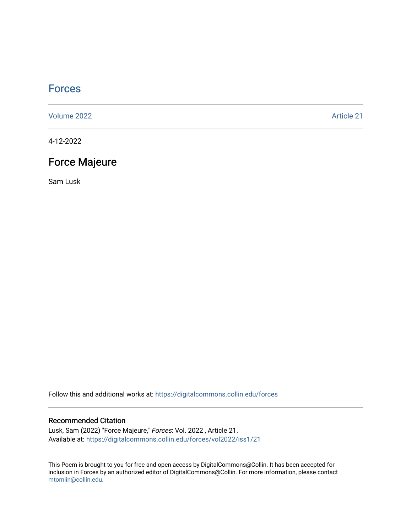## **[Forces](https://digitalcommons.collin.edu/forces)**

[Volume 2022](https://digitalcommons.collin.edu/forces/vol2022) [Article 21](https://digitalcommons.collin.edu/forces/vol2022/iss1/21) 

4-12-2022

# Force Majeure

Sam Lusk

Follow this and additional works at: [https://digitalcommons.collin.edu/forces](https://digitalcommons.collin.edu/forces?utm_source=digitalcommons.collin.edu%2Fforces%2Fvol2022%2Fiss1%2F21&utm_medium=PDF&utm_campaign=PDFCoverPages)

#### Recommended Citation

Lusk, Sam (2022) "Force Majeure," Forces: Vol. 2022 , Article 21. Available at: [https://digitalcommons.collin.edu/forces/vol2022/iss1/21](https://digitalcommons.collin.edu/forces/vol2022/iss1/21?utm_source=digitalcommons.collin.edu%2Fforces%2Fvol2022%2Fiss1%2F21&utm_medium=PDF&utm_campaign=PDFCoverPages) 

This Poem is brought to you for free and open access by DigitalCommons@Collin. It has been accepted for inclusion in Forces by an authorized editor of DigitalCommons@Collin. For more information, please contact [mtomlin@collin.edu.](mailto:mtomlin@collin.edu)